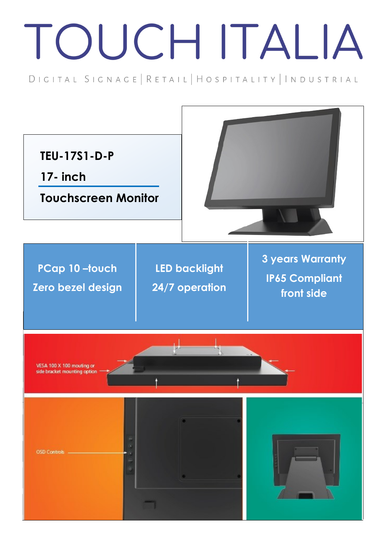## TOUCH ITALIA

DIGITAL SIGNAGE | RETAIL | HOSPITALITY | INDUSTRIAL